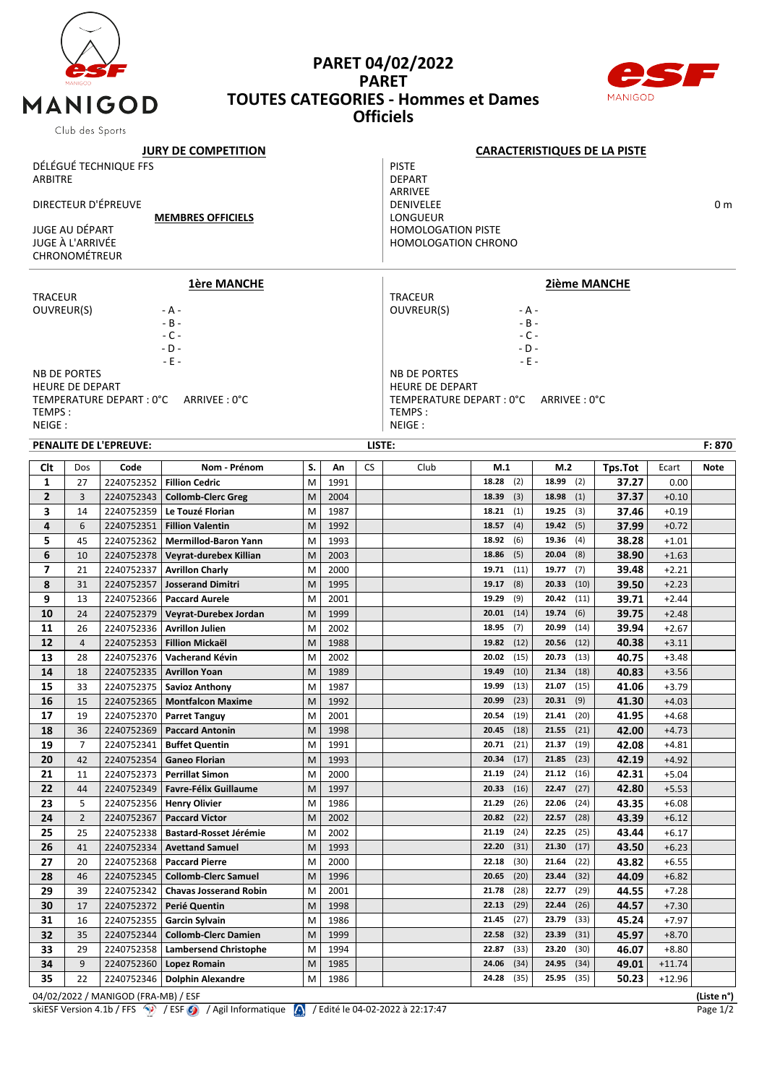

## **PARET 04/02/2022 PARET TOUTES CATEGORIES - Hommes et Dames Officiels**



|                                            | Club des oports        |                                     |                               |    |      |                         |                                                    |                                     |               |         |          |            |  |  |  |
|--------------------------------------------|------------------------|-------------------------------------|-------------------------------|----|------|-------------------------|----------------------------------------------------|-------------------------------------|---------------|---------|----------|------------|--|--|--|
|                                            |                        |                                     | <b>JURY DE COMPETITION</b>    |    |      |                         |                                                    | <b>CARACTERISTIQUES DE LA PISTE</b> |               |         |          |            |  |  |  |
| DÉLÉGUÉ TECHNIQUE FFS                      |                        |                                     |                               |    |      | <b>PISTE</b>            |                                                    |                                     |               |         |          |            |  |  |  |
| <b>ARBITRE</b>                             |                        |                                     |                               |    |      | <b>DEPART</b>           |                                                    |                                     |               |         |          |            |  |  |  |
|                                            |                        |                                     |                               |    |      | ARRIVEE                 |                                                    |                                     |               |         |          |            |  |  |  |
| DIRECTEUR D'ÉPREUVE                        |                        |                                     |                               |    |      | <b>DENIVELEE</b><br>0 m |                                                    |                                     |               |         |          |            |  |  |  |
| <b>MEMBRES OFFICIELS</b><br>JUGE AU DÉPART |                        |                                     |                               |    |      | LONGUEUR                |                                                    |                                     |               |         |          |            |  |  |  |
|                                            | JUGE À L'ARRIVÉE       |                                     |                               |    |      |                         | <b>HOMOLOGATION PISTE</b>                          |                                     |               |         |          |            |  |  |  |
|                                            | <b>CHRONOMÉTREUR</b>   |                                     |                               |    |      |                         | <b>HOMOLOGATION CHRONO</b>                         |                                     |               |         |          |            |  |  |  |
|                                            |                        |                                     |                               |    |      |                         |                                                    |                                     |               |         |          |            |  |  |  |
|                                            |                        |                                     | <b>1ère MANCHE</b>            |    |      |                         | <b>2ième MANCHE</b>                                |                                     |               |         |          |            |  |  |  |
| <b>TRACEUR</b>                             |                        |                                     |                               |    |      |                         | <b>TRACEUR</b>                                     |                                     |               |         |          |            |  |  |  |
| OUVREUR(S)                                 |                        |                                     | - A -                         |    |      |                         | OUVREUR(S)<br>- A -                                |                                     |               |         |          |            |  |  |  |
|                                            |                        |                                     | $- B -$                       |    |      |                         | $- B -$                                            |                                     |               |         |          |            |  |  |  |
|                                            |                        |                                     | $-C -$                        |    |      |                         | $-C -$                                             |                                     |               |         |          |            |  |  |  |
|                                            |                        |                                     | $-D -$                        |    |      |                         | $-D -$                                             |                                     |               |         |          |            |  |  |  |
|                                            |                        |                                     | $-E$ -                        |    |      |                         |                                                    | $-E -$                              |               |         |          |            |  |  |  |
|                                            | <b>NB DE PORTES</b>    |                                     |                               |    |      |                         | <b>NB DE PORTES</b>                                |                                     |               |         |          |            |  |  |  |
|                                            | <b>HEURE DE DEPART</b> | TEMPERATURE DEPART : 0°C            | ARRIVEE: 0°C                  |    |      |                         | <b>HEURE DE DEPART</b><br>TEMPERATURE DEPART : 0°C |                                     | ARRIVEE : 0°C |         |          |            |  |  |  |
| TEMPS:                                     |                        |                                     |                               |    |      |                         | TEMPS:                                             |                                     |               |         |          |            |  |  |  |
| NEIGE:                                     |                        |                                     |                               |    |      |                         | NEIGE:                                             |                                     |               |         |          |            |  |  |  |
| PENALITE DE L'EPREUVE:                     |                        |                                     |                               |    |      |                         |                                                    |                                     |               |         |          |            |  |  |  |
|                                            |                        |                                     |                               |    |      |                         | LISTE:<br>F: 870                                   |                                     |               |         |          |            |  |  |  |
| Clt                                        | Dos                    | Code                                | Nom - Prénom                  | S. | An   | <b>CS</b>               | Club                                               | M.1                                 | M.2           | Tps.Tot | Ecart    | Note       |  |  |  |
| 1                                          | 27                     | 2240752352                          | <b>Fillion Cedric</b>         | M  | 1991 |                         |                                                    | 18.28<br>(2)                        | 18.99<br>(2)  | 37.27   | 0.00     |            |  |  |  |
| $\overline{2}$                             | 3                      | 2240752343                          | <b>Collomb-Clerc Greg</b>     | M  | 2004 |                         |                                                    | (3)<br>18.39                        | 18.98<br>(1)  | 37.37   | $+0.10$  |            |  |  |  |
| 3                                          | 14                     | 2240752359                          | Le Touzé Florian              | M  | 1987 |                         |                                                    | (1)<br>18.21                        | 19.25<br>(3)  | 37.46   | $+0.19$  |            |  |  |  |
| 4                                          | 6                      | 2240752351                          | <b>Fillion Valentin</b>       | M  | 1992 |                         |                                                    | (4)<br>18.57                        | 19.42<br>(5)  | 37.99   | $+0.72$  |            |  |  |  |
| 5                                          | 45                     | 2240752362                          | <b>Mermillod-Baron Yann</b>   | M  | 1993 |                         |                                                    | 18.92<br>(6)                        | 19.36<br>(4)  | 38.28   | $+1.01$  |            |  |  |  |
| 6                                          | 10                     | 2240752378                          | Veyrat-durebex Killian        | M  | 2003 |                         |                                                    | 18.86<br>(5)                        | 20.04<br>(8)  | 38.90   | $+1.63$  |            |  |  |  |
| 7                                          | 21                     | 2240752337                          | <b>Avrillon Charly</b>        | M  | 2000 |                         |                                                    | (11)<br>19.71                       | 19.77<br>(7)  | 39.48   | $+2.21$  |            |  |  |  |
| 8                                          | 31                     | 2240752357                          | <b>Josserand Dimitri</b>      | M  | 1995 |                         |                                                    | (8)<br>19.17                        | (10)<br>20.33 | 39.50   | $+2.23$  |            |  |  |  |
| 9                                          | 13                     | 2240752366                          | <b>Paccard Aurele</b>         | M  | 2001 |                         |                                                    | (9)<br>19.29                        | 20.42<br>(11) | 39.71   | $+2.44$  |            |  |  |  |
| 10                                         | 24                     | 2240752379                          | Veyrat-Durebex Jordan         | M  | 1999 |                         |                                                    | 20.01<br>(14)                       | 19.74<br>(6)  | 39.75   | $+2.48$  |            |  |  |  |
| 11                                         | 26                     | 2240752336                          | <b>Avrillon Julien</b>        | M  | 2002 |                         |                                                    | (7)<br>18.95                        | 20.99<br>(14) | 39.94   | $+2.67$  |            |  |  |  |
| 12                                         | $\overline{4}$         | 2240752353                          | <b>Fillion Mickaël</b>        | M  | 1988 |                         |                                                    | (12)<br>19.82                       | 20.56<br>(12) | 40.38   | $+3.11$  |            |  |  |  |
| 13                                         | 28                     | 2240752376                          | Vacherand Kévin               | M  | 2002 |                         |                                                    | (15)<br>20.02                       | 20.73<br>(13) | 40.75   | $+3.48$  |            |  |  |  |
| 14                                         | 18                     | 2240752335                          | <b>Avrillon Yoan</b>          | M  | 1989 |                         |                                                    | (10)<br>19.49                       | 21.34<br>(18) | 40.83   | $+3.56$  |            |  |  |  |
| 15                                         | 33                     | 2240752375                          | <b>Savioz Anthony</b>         | M  | 1987 |                         |                                                    | (13)<br>19.99                       | 21.07<br>(15) | 41.06   | $+3.79$  |            |  |  |  |
| 16                                         | 15                     | 2240752365                          | <b>Montfalcon Maxime</b>      | M  | 1992 |                         |                                                    | (23)<br>20.99                       | $20.31$ (9)   | 41.30   | $+4.03$  |            |  |  |  |
| 17                                         | 19                     | 2240752370                          | <b>Parret Tanguy</b>          | M  | 2001 |                         |                                                    | 20.54<br>(19)                       | 21.41<br>(20) | 41.95   | +4.68    |            |  |  |  |
| 18                                         | 36                     | 2240752369                          | <b>Paccard Antonin</b>        | M  | 1998 |                         |                                                    | (18)<br>20.45                       | 21.55<br>(21) | 42.00   | $+4.73$  |            |  |  |  |
| 19                                         | 7                      | 2240752341                          | <b>Buffet Quentin</b>         | M  | 1991 |                         |                                                    | 20.71<br>(21)                       | 21.37<br>(19) | 42.08   | $+4.81$  |            |  |  |  |
| 20                                         | 42                     | 2240752354                          | <b>Ganeo Florian</b>          | M  | 1993 |                         |                                                    | 20.34<br>(17)                       | 21.85<br>(23) | 42.19   | $+4.92$  |            |  |  |  |
| 21                                         | 11                     | 2240752373                          | <b>Perrillat Simon</b>        | M  | 2000 |                         |                                                    | (24)<br>21.19                       | 21.12<br>(16) | 42.31   | $+5.04$  |            |  |  |  |
| 22                                         | 44                     | 2240752349                          | <b>Favre-Félix Guillaume</b>  | M  | 1997 |                         |                                                    | (16)<br>20.33                       | 22.47<br>(27) | 42.80   | $+5.53$  |            |  |  |  |
| 23                                         | 5                      | 2240752356                          | <b>Henry Olivier</b>          | M  | 1986 |                         |                                                    | 21.29<br>(26)                       | 22.06<br>(24) | 43.35   | $+6.08$  |            |  |  |  |
| 24                                         | $\overline{2}$         | 2240752367                          | <b>Paccard Victor</b>         | M  | 2002 |                         |                                                    | (22)<br>20.82                       | 22.57<br>(28) | 43.39   | $+6.12$  |            |  |  |  |
| 25                                         | 25                     | 2240752338                          | <b>Bastard-Rosset Jérémie</b> | M  | 2002 |                         |                                                    | 21.19<br>(24)                       | 22.25<br>(25) | 43.44   | $+6.17$  |            |  |  |  |
| 26                                         | 41                     | 2240752334                          | <b>Avettand Samuel</b>        | M  | 1993 |                         |                                                    | 22.20<br>(31)                       | 21.30<br>(17) | 43.50   | $+6.23$  |            |  |  |  |
| 27                                         | 20                     | 2240752368                          | <b>Paccard Pierre</b>         | M  | 2000 |                         |                                                    | (30)<br>22.18                       | 21.64<br>(22) | 43.82   | $+6.55$  |            |  |  |  |
| 28                                         | 46                     | 2240752345                          | <b>Collomb-Clerc Samuel</b>   | M  | 1996 |                         |                                                    | 20.65<br>(20)                       | 23.44<br>(32) | 44.09   | $+6.82$  |            |  |  |  |
| 29                                         | 39                     | 2240752342                          | <b>Chavas Josserand Robin</b> | M  | 2001 |                         |                                                    | 21.78<br>(28)                       | 22.77<br>(29) | 44.55   | $+7.28$  |            |  |  |  |
| 30                                         | 17                     | 2240752372                          | Perié Quentin                 | M  | 1998 |                         |                                                    | (29)<br>22.13                       | 22.44<br>(26) | 44.57   | $+7.30$  |            |  |  |  |
| 31                                         | 16                     | 2240752355                          | <b>Garcin Sylvain</b>         | M  | 1986 |                         |                                                    | (27)<br>21.45                       | 23.79<br>(33) | 45.24   | $+7.97$  |            |  |  |  |
| 32                                         | 35                     | 2240752344                          | <b>Collomb-Clerc Damien</b>   | M  | 1999 |                         |                                                    | 22.58<br>(32)                       | 23.39<br>(31) | 45.97   | $+8.70$  |            |  |  |  |
| 33                                         | 29                     | 2240752358                          | <b>Lambersend Christophe</b>  | M  | 1994 |                         |                                                    | (33)<br>22.87                       | 23.20<br>(30) | 46.07   | $+8.80$  |            |  |  |  |
| 34                                         | 9                      | 2240752360                          | Lopez Romain                  | M  | 1985 |                         |                                                    | (34)<br>24.06                       | 24.95<br>(34) | 49.01   | $+11.74$ |            |  |  |  |
| 35                                         | 22                     | 2240752346                          | <b>Dolphin Alexandre</b>      | M  | 1986 |                         |                                                    | 24.28<br>(35)                       | 25.95<br>(35) | 50.23   | $+12.96$ |            |  |  |  |
|                                            |                        | 04/02/2022 / MANIGOD (FRA-MB) / ESF |                               |    |      |                         |                                                    |                                     |               |         |          | (Liste n°) |  |  |  |

skiESF Version 4.1b / FFS  $\langle \cdot \rangle$  / ESF  $\langle \cdot \rangle$  / Agil Informatique  $\langle \cdot \rangle$  / Edité le 04-02-2022 à 22:17:47